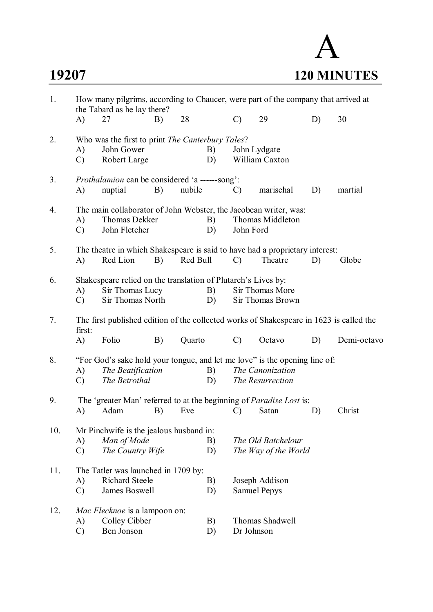# A **19207 120 MINUTES**

| 1.  | How many pilgrims, according to Chaucer, were part of the company that arrived at<br>the Tabard as he lay there? |                                                                                                                  |    |          |          |               |                                            |    |             |
|-----|------------------------------------------------------------------------------------------------------------------|------------------------------------------------------------------------------------------------------------------|----|----------|----------|---------------|--------------------------------------------|----|-------------|
|     | A)                                                                                                               | 27                                                                                                               | B) | 28       |          | $\mathcal{C}$ | 29                                         | D) | 30          |
| 2.  | A)<br>$\mathcal{C}$                                                                                              | Who was the first to print The Canterbury Tales?<br>John Gower<br>Robert Large                                   |    |          | B)<br>D) |               | John Lydgate<br>William Caxton             |    |             |
| 3.  | A)                                                                                                               | <i>Prothalamion</i> can be considered 'a ------song':<br>nuptial                                                 | B) | nubile   |          | $\mathcal{C}$ | marischal                                  | D) | martial     |
| 4.  | A)<br>$\mathcal{C}$                                                                                              | The main collaborator of John Webster, the Jacobean writer, was:<br>Thomas Dekker<br>John Fletcher               |    |          | B)<br>D) | John Ford     | Thomas Middleton                           |    |             |
| 5.  | A)                                                                                                               | The theatre in which Shakespeare is said to have had a proprietary interest:<br>Red Lion                         | B) | Red Bull |          | $\mathcal{C}$ | Theatre                                    | D) | Globe       |
| 6.  | A)<br>$\mathcal{C}$                                                                                              | Shakespeare relied on the translation of Plutarch's Lives by:<br>Sir Thomas Lucy<br>Sir Thomas North             |    |          | B)<br>D) |               | Sir Thomas More<br>Sir Thomas Brown        |    |             |
| 7.  | first:                                                                                                           | The first published edition of the collected works of Shakespeare in 1623 is called the                          |    |          |          |               |                                            |    |             |
|     | A)                                                                                                               | Folio                                                                                                            | B) | Quarto   |          | $\mathcal{C}$ | Octavo                                     | D) | Demi-octavo |
| 8.  | A)<br>$\mathcal{C}$                                                                                              | "For God's sake hold your tongue, and let me love" is the opening line of:<br>The Beatification<br>The Betrothal |    |          | B)<br>D) |               | The Canonization<br>The Resurrection       |    |             |
| 9.  | A)                                                                                                               | The 'greater Man' referred to at the beginning of <i>Paradise Lost</i> is:<br>Adam                               | B) | Eve      |          | $\mathcal{C}$ | Satan                                      | D) | Christ      |
| 10. | A)<br>$\mathcal{C}$                                                                                              | Mr Pinchwife is the jealous husband in:<br>Man of Mode<br>The Country Wife                                       |    |          | B)<br>D) |               | The Old Batchelour<br>The Way of the World |    |             |
| 11. | A)<br>$\mathcal{C}$                                                                                              | The Tatler was launched in 1709 by:<br><b>Richard Steele</b><br>James Boswell                                    |    |          | B)<br>D) |               | Joseph Addison<br><b>Samuel Pepys</b>      |    |             |
| 12. | A)<br>$\mathcal{C}$                                                                                              | Mac Flecknoe is a lampoon on:<br>Colley Cibber<br>Ben Jonson                                                     |    |          | B)<br>D) | Dr Johnson    | Thomas Shadwell                            |    |             |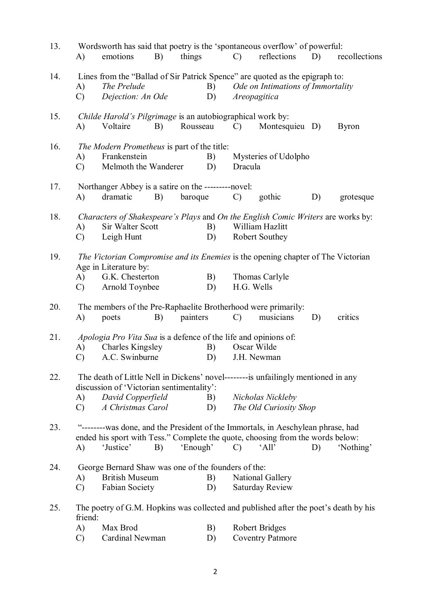| 13. | A)                  | Wordsworth has said that poetry is the 'spontaneous overflow' of powerful:<br>emotions                                                                                           | B) | things   |          | $\mathcal{C}$ | reflections                                       | D) | recollections |
|-----|---------------------|----------------------------------------------------------------------------------------------------------------------------------------------------------------------------------|----|----------|----------|---------------|---------------------------------------------------|----|---------------|
| 14. | A)<br>$\mathcal{C}$ | Lines from the "Ballad of Sir Patrick Spence" are quoted as the epigraph to:<br>The Prelude<br>Dejection: An Ode                                                                 |    |          | B)<br>D) |               | Ode on Intimations of Immortality<br>Areopagitica |    |               |
| 15. | A)                  | Childe Harold's Pilgrimage is an autobiographical work by:<br>Voltaire                                                                                                           | B) | Rousseau |          | $\mathcal{C}$ | Montesquieu D)                                    |    | <b>Byron</b>  |
| 16. | A)<br>$\mathcal{C}$ | The Modern Prometheus is part of the title:<br>Frankenstein<br>Melmoth the Wanderer                                                                                              |    |          | B)<br>D) | Dracula       | Mysteries of Udolpho                              |    |               |
| 17. | A)                  | Northanger Abbey is a satire on the ---------novel:<br>dramatic                                                                                                                  | B) | baroque  |          | $\mathcal{C}$ | gothic                                            | D) | grotesque     |
| 18. | A)<br>$\mathcal{C}$ | Characters of Shakespeare's Plays and On the English Comic Writers are works by:<br>Sir Walter Scott<br>Leigh Hunt                                                               |    |          | B)<br>D) |               | William Hazlitt<br>Robert Southey                 |    |               |
| 19. | A)<br>$\mathcal{C}$ | The Victorian Compromise and its Enemies is the opening chapter of The Victorian<br>Age in Literature by:<br>G.K. Chesterton<br>Arnold Toynbee                                   |    |          | B)<br>D) | H.G. Wells    | Thomas Carlyle                                    |    |               |
| 20. | A)                  | The members of the Pre-Raphaelite Brotherhood were primarily:<br>poets                                                                                                           | B) | painters |          | $\mathcal{C}$ | musicians                                         | D) | critics       |
| 21. | A)<br>$\mathcal{C}$ | Apologia Pro Vita Sua is a defence of the life and opinions of:<br><b>Charles Kingsley</b><br>A.C. Swinburne                                                                     |    |          | B)<br>D) |               | Oscar Wilde<br>J.H. Newman                        |    |               |
| 22. | A)<br>$\mathcal{C}$ | The death of Little Nell in Dickens' novel---------- is unfailingly mentioned in any<br>discussion of 'Victorian sentimentality':<br>David Copperfield<br>A Christmas Carol      |    |          | B)<br>D) |               | Nicholas Nickleby<br>The Old Curiosity Shop       |    |               |
| 23. | $\bf{A}$            | "---------was done, and the President of the Immortals, in Aeschylean phrase, had<br>ended his sport with Tess." Complete the quote, choosing from the words below:<br>'Justice' | B) | 'Enough' |          | $\mathcal{C}$ | 'All'                                             | D) | 'Nothing'     |
| 24. | A)<br>$\mathcal{C}$ | George Bernard Shaw was one of the founders of the:<br><b>British Museum</b><br><b>Fabian Society</b>                                                                            |    |          | B)<br>D) |               | National Gallery<br><b>Saturday Review</b>        |    |               |
| 25. | friend:             | The poetry of G.M. Hopkins was collected and published after the poet's death by his                                                                                             |    |          |          |               |                                                   |    |               |
|     | A)<br>$\mathcal{C}$ | Max Brod<br>Cardinal Newman                                                                                                                                                      |    |          | B)<br>D) |               | Robert Bridges<br><b>Coventry Patmore</b>         |    |               |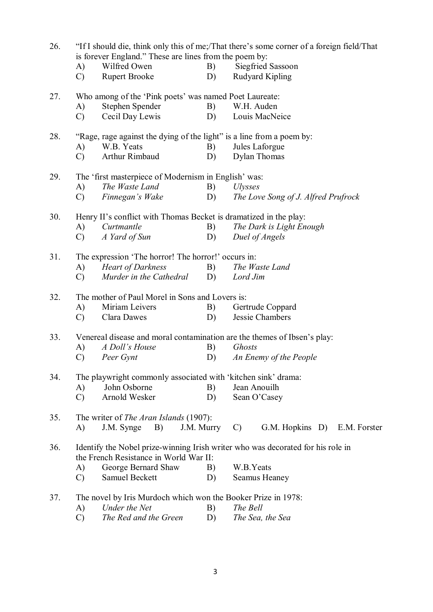| 26. |                                                                          |                                                                       |            | "If I should die, think only this of me;/That there's some corner of a foreign field/That |  |  |  |  |  |
|-----|--------------------------------------------------------------------------|-----------------------------------------------------------------------|------------|-------------------------------------------------------------------------------------------|--|--|--|--|--|
|     |                                                                          | is forever England." These are lines from the poem by:                |            |                                                                                           |  |  |  |  |  |
|     | A)                                                                       | Wilfred Owen                                                          | B)         | Siegfried Sassoon                                                                         |  |  |  |  |  |
|     | $\mathcal{C}$                                                            | <b>Rupert Brooke</b>                                                  | D)         | <b>Rudyard Kipling</b>                                                                    |  |  |  |  |  |
| 27. | Who among of the 'Pink poets' was named Poet Laureate:                   |                                                                       |            |                                                                                           |  |  |  |  |  |
|     | A)                                                                       | Stephen Spender                                                       | B)         | W.H. Auden                                                                                |  |  |  |  |  |
|     | $\mathcal{C}$                                                            | Cecil Day Lewis                                                       | D)         | Louis MacNeice                                                                            |  |  |  |  |  |
| 28. |                                                                          | "Rage, rage against the dying of the light" is a line from a poem by: |            |                                                                                           |  |  |  |  |  |
|     | A)                                                                       | W.B. Yeats                                                            | B)         | Jules Laforgue                                                                            |  |  |  |  |  |
|     | $\mathcal{C}$                                                            | Arthur Rimbaud                                                        | D)         | <b>Dylan Thomas</b>                                                                       |  |  |  |  |  |
|     |                                                                          |                                                                       |            |                                                                                           |  |  |  |  |  |
| 29. |                                                                          | The 'first masterpiece of Modernism in English' was:                  |            |                                                                                           |  |  |  |  |  |
|     | A)                                                                       | The Waste Land                                                        | B)         | <i>Ulysses</i>                                                                            |  |  |  |  |  |
|     | $\mathcal{C}$                                                            | Finnegan's Wake                                                       | D)         | The Love Song of J. Alfred Prufrock                                                       |  |  |  |  |  |
| 30. |                                                                          | Henry II's conflict with Thomas Becket is dramatized in the play:     |            |                                                                                           |  |  |  |  |  |
|     | A)                                                                       | Curtmantle                                                            | B)         | The Dark is Light Enough                                                                  |  |  |  |  |  |
|     | $\mathcal{C}$                                                            | A Yard of Sun                                                         | D)         | Duel of Angels                                                                            |  |  |  |  |  |
| 31. |                                                                          | The expression 'The horror! The horror!' occurs in:                   |            |                                                                                           |  |  |  |  |  |
|     | (A)                                                                      | <b>Heart of Darkness</b>                                              | B)         | The Waste Land                                                                            |  |  |  |  |  |
|     | $\mathcal{C}$                                                            | Murder in the Cathedral                                               | D)         | Lord Jim                                                                                  |  |  |  |  |  |
| 32. |                                                                          | The mother of Paul Morel in Sons and Lovers is:                       |            |                                                                                           |  |  |  |  |  |
|     |                                                                          | Miriam Leivers                                                        |            |                                                                                           |  |  |  |  |  |
|     | A)                                                                       |                                                                       | B)         | Gertrude Coppard                                                                          |  |  |  |  |  |
|     | $\mathcal{C}$                                                            | Clara Dawes                                                           | D)         | Jessie Chambers                                                                           |  |  |  |  |  |
| 33. | Venereal disease and moral contamination are the themes of Ibsen's play: |                                                                       |            |                                                                                           |  |  |  |  |  |
|     | A)                                                                       | A Doll's House                                                        | B)         | Ghosts                                                                                    |  |  |  |  |  |
|     | $\mathcal{C}$                                                            | Peer Gynt                                                             | D)         | An Enemy of the People                                                                    |  |  |  |  |  |
| 34. | The playwright commonly associated with 'kitchen sink' drama:            |                                                                       |            |                                                                                           |  |  |  |  |  |
|     | A)                                                                       | John Osborne                                                          | B)         | Jean Anouilh                                                                              |  |  |  |  |  |
|     | $\mathcal{C}$                                                            | Arnold Wesker                                                         | D)         | Sean O'Casey                                                                              |  |  |  |  |  |
|     |                                                                          |                                                                       |            |                                                                                           |  |  |  |  |  |
| 35. |                                                                          | The writer of <i>The Aran Islands</i> (1907):                         |            |                                                                                           |  |  |  |  |  |
|     | A)                                                                       | $J.M.$ Synge $B)$                                                     | J.M. Murry | G.M. Hopkins D)<br>E.M. Forster<br>$\mathcal{C}$                                          |  |  |  |  |  |
| 36. |                                                                          |                                                                       |            | Identify the Nobel prize-winning Irish writer who was decorated for his role in           |  |  |  |  |  |
|     |                                                                          | the French Resistance in World War II:                                |            |                                                                                           |  |  |  |  |  |
|     | A)                                                                       | George Bernard Shaw                                                   | B)         | W.B.Yeats                                                                                 |  |  |  |  |  |
|     | $\mathcal{C}$                                                            | Samuel Beckett                                                        | D)         | <b>Seamus Heaney</b>                                                                      |  |  |  |  |  |
| 37. |                                                                          | The novel by Iris Murdoch which won the Booker Prize in 1978:         |            |                                                                                           |  |  |  |  |  |
|     | A)                                                                       | Under the Net                                                         | B)         | The Bell                                                                                  |  |  |  |  |  |
|     |                                                                          |                                                                       |            |                                                                                           |  |  |  |  |  |

C) *The Red and the Green* D) *The Sea, the Sea*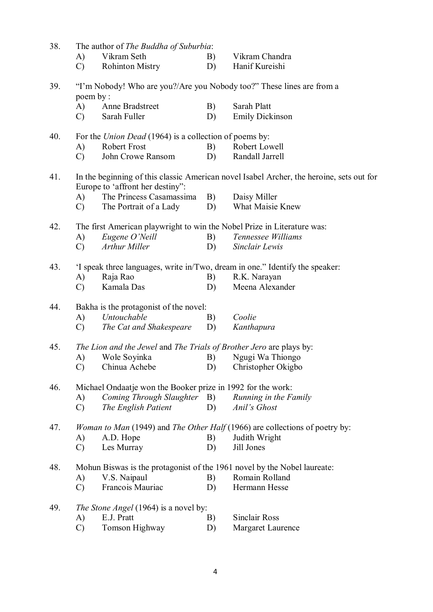| 38. |               | The author of The Buddha of Suburbia:                                   |    |                                                                                           |
|-----|---------------|-------------------------------------------------------------------------|----|-------------------------------------------------------------------------------------------|
|     | A)            | Vikram Seth                                                             | B) | Vikram Chandra                                                                            |
|     | $\mathcal{C}$ | <b>Rohinton Mistry</b>                                                  | D) | Hanif Kureishi                                                                            |
| 39. | poem by:      |                                                                         |    | "I'm Nobody! Who are you?/Are you Nobody too?" These lines are from a                     |
|     | A)            | Anne Bradstreet                                                         | B) | Sarah Platt                                                                               |
|     | $\mathcal{C}$ | Sarah Fuller                                                            | D) | <b>Emily Dickinson</b>                                                                    |
| 40. |               | For the <i>Union Dead</i> (1964) is a collection of poems by:           |    |                                                                                           |
|     | A)            | <b>Robert Frost</b>                                                     | B) | Robert Lowell                                                                             |
|     | $\mathcal{C}$ | John Crowe Ransom                                                       | D) | Randall Jarrell                                                                           |
| 41. |               | Europe to 'affront her destiny":                                        |    | In the beginning of this classic American novel Isabel Archer, the heroine, sets out for  |
|     | A)            | The Princess Casamassima                                                | B) | Daisy Miller                                                                              |
|     | $\mathcal{C}$ | The Portrait of a Lady                                                  | D) | <b>What Maisie Knew</b>                                                                   |
| 42. |               | The first American playwright to win the Nobel Prize in Literature was: |    |                                                                                           |
|     | A)            | Eugene O'Neill                                                          | B) | Tennessee Williams                                                                        |
|     | $\mathcal{C}$ | <b>Arthur Miller</b>                                                    | D) | Sinclair Lewis                                                                            |
| 43. |               |                                                                         |    | 'I speak three languages, write in/Two, dream in one." Identify the speaker:              |
|     | A)            | Raja Rao                                                                | B) | R.K. Narayan                                                                              |
|     | $\mathcal{C}$ | Kamala Das                                                              | D) | Meena Alexander                                                                           |
| 44. |               | Bakha is the protagonist of the novel:                                  |    |                                                                                           |
|     | A)            | Untouchable                                                             | B) | Coolie                                                                                    |
|     | $\mathcal{C}$ | The Cat and Shakespeare                                                 | D) | Kanthapura                                                                                |
| 45. |               | The Lion and the Jewel and The Trials of Brother Jero are plays by:     |    |                                                                                           |
|     | A)            | Wole Soyinka                                                            | B) | Ngugi Wa Thiongo                                                                          |
|     | $\mathcal{C}$ | Chinua Achebe                                                           | D) | Christopher Okigbo                                                                        |
| 46. |               | Michael Ondaatje won the Booker prize in 1992 for the work:             |    |                                                                                           |
|     | A)            | Coming Through Slaughter B)                                             |    | Running in the Family                                                                     |
|     | $\mathcal{C}$ | The English Patient                                                     | D) | Anil's Ghost                                                                              |
| 47. |               |                                                                         |    | <i>Woman to Man</i> (1949) and <i>The Other Half</i> (1966) are collections of poetry by: |
|     | A)            | A.D. Hope                                                               | B) | Judith Wright                                                                             |
|     | $\mathcal{C}$ | Les Murray                                                              | D) | Jill Jones                                                                                |
| 48. |               |                                                                         |    | Mohun Biswas is the protagonist of the 1961 novel by the Nobel laureate:                  |
|     | A)            | V.S. Naipaul                                                            | B) | Romain Rolland                                                                            |
|     | $\mathcal{C}$ | Francois Mauriac                                                        | D) | Hermann Hesse                                                                             |
| 49. |               | <i>The Stone Angel</i> (1964) is a novel by:                            |    |                                                                                           |
|     | A)            | E.J. Pratt                                                              | B) | <b>Sinclair Ross</b>                                                                      |
|     | $\mathcal{C}$ | Tomson Highway                                                          | D) | Margaret Laurence                                                                         |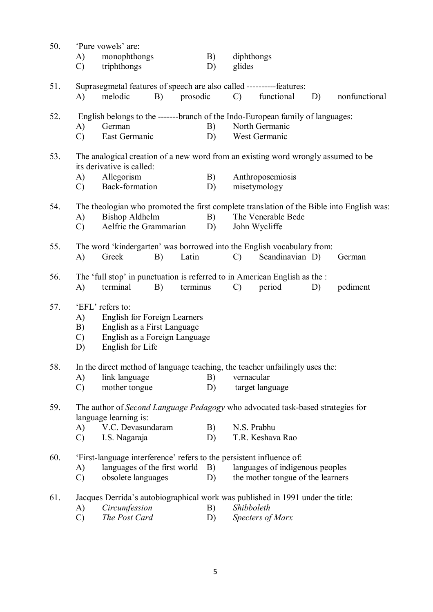| 50. | A)<br>$\mathcal{C}$                                                                                                                                                 | 'Pure vowels' are:<br>monophthongs<br>triphthongs                                                                                              |    |          | B)<br>D) | diphthongs<br>glides                |                                                                      |    |               |
|-----|---------------------------------------------------------------------------------------------------------------------------------------------------------------------|------------------------------------------------------------------------------------------------------------------------------------------------|----|----------|----------|-------------------------------------|----------------------------------------------------------------------|----|---------------|
| 51. | A)                                                                                                                                                                  | Suprasegmetal features of speech are also called ----------features:<br>melodic                                                                | B) | prosodic |          | $\mathcal{C}$ )                     | functional                                                           | D) | nonfunctional |
| 52. | A)<br>$\mathcal{C}$                                                                                                                                                 | English belongs to the ------branch of the Indo-European family of languages:<br>German<br>East Germanic                                       |    |          | B)<br>D) |                                     | North Germanic<br>West Germanic                                      |    |               |
| 53. | A)<br>$\mathcal{C}$                                                                                                                                                 | The analogical creation of a new word from an existing word wrongly assumed to be<br>its derivative is called:<br>Allegorism<br>Back-formation |    |          | B)<br>D) |                                     | Anthroposemiosis<br>misetymology                                     |    |               |
| 54. | The theologian who promoted the first complete translation of the Bible into English was:<br><b>Bishop Aldhelm</b><br>A)<br>Aelfric the Grammarian<br>$\mathcal{C}$ |                                                                                                                                                |    | B)<br>D) |          | The Venerable Bede<br>John Wycliffe |                                                                      |    |               |
| 55. | A)                                                                                                                                                                  | The word 'kindergarten' was borrowed into the English vocabulary from:<br>Greek                                                                | B) | Latin    |          | $\mathcal{C}$                       | Scandinavian D)                                                      |    | German        |
| 56. | A)                                                                                                                                                                  | The 'full stop' in punctuation is referred to in American English as the :<br>terminal                                                         | B) | terminus |          | $\mathcal{C}$                       | period                                                               | D) | pediment      |
| 57. | A)<br>B)<br>$\mathcal{C}$<br>D)                                                                                                                                     | 'EFL' refers to:<br><b>English for Foreign Learners</b><br>English as a First Language<br>English as a Foreign Language<br>English for Life    |    |          |          |                                     |                                                                      |    |               |
| 58. | A)<br>$\mathcal{C}$                                                                                                                                                 | In the direct method of language teaching, the teacher unfailingly uses the:<br>link language<br>mother tongue                                 |    |          | B)<br>D) | vernacular                          | target language                                                      |    |               |
| 59. |                                                                                                                                                                     | The author of Second Language Pedagogy who advocated task-based strategies for<br>language learning is:                                        |    |          |          |                                     |                                                                      |    |               |
|     | A)<br>$\mathcal{C}$                                                                                                                                                 | V.C. Devasundaram<br>I.S. Nagaraja                                                                                                             |    |          | B)<br>D) | N.S. Prabhu                         | T.R. Keshava Rao                                                     |    |               |
| 60. | A)<br>$\mathcal{C}$                                                                                                                                                 | 'First-language interference' refers to the persistent influence of:<br>languages of the first world B)<br>obsolete languages                  |    |          | D)       |                                     | languages of indigenous peoples<br>the mother tongue of the learners |    |               |
| 61. | A)                                                                                                                                                                  | Jacques Derrida's autobiographical work was published in 1991 under the title:<br>Circumfession                                                |    |          | B)       | Shibboleth                          |                                                                      |    |               |

C) *The Post Card* D) *Specters of Marx*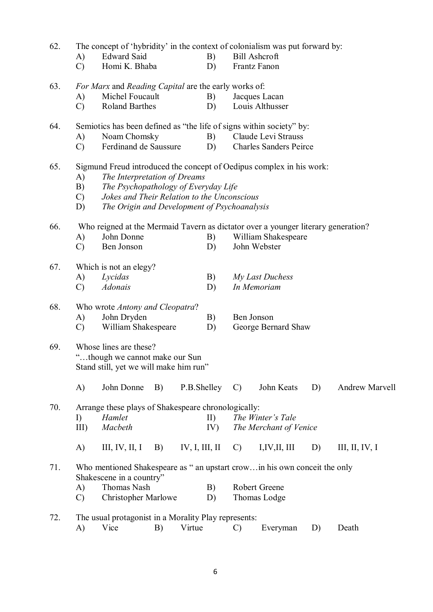| 62. | The concept of 'hybridity' in the context of colonialism was put forward by:      |                                                                                                       |    |        |     |                                                                      |                               |    |                |  |  |  |
|-----|-----------------------------------------------------------------------------------|-------------------------------------------------------------------------------------------------------|----|--------|-----|----------------------------------------------------------------------|-------------------------------|----|----------------|--|--|--|
|     | A)                                                                                | <b>Edward Said</b>                                                                                    |    |        | B)  |                                                                      | <b>Bill Ashcroft</b>          |    |                |  |  |  |
|     | $\mathcal{C}$                                                                     | Homi K. Bhaba                                                                                         |    |        | D)  |                                                                      | Frantz Fanon                  |    |                |  |  |  |
| 63. |                                                                                   |                                                                                                       |    |        |     | For Marx and Reading Capital are the early works of:                 |                               |    |                |  |  |  |
|     | A)                                                                                | Michel Foucault                                                                                       |    |        | B)  | Jacques Lacan                                                        |                               |    |                |  |  |  |
|     | $\mathcal{C}$                                                                     | Roland Barthes                                                                                        |    |        | D)  |                                                                      | Louis Althusser               |    |                |  |  |  |
| 64. |                                                                                   |                                                                                                       |    |        |     | Semiotics has been defined as "the life of signs within society" by: |                               |    |                |  |  |  |
|     | A)                                                                                | Noam Chomsky                                                                                          |    |        | B)  | Claude Levi Strauss                                                  |                               |    |                |  |  |  |
|     | $\mathcal{C}$                                                                     | Ferdinand de Saussure                                                                                 |    |        | D)  |                                                                      | <b>Charles Sanders Peirce</b> |    |                |  |  |  |
| 65. |                                                                                   | Sigmund Freud introduced the concept of Oedipus complex in his work:                                  |    |        |     |                                                                      |                               |    |                |  |  |  |
|     | A)                                                                                | The Interpretation of Dreams                                                                          |    |        |     |                                                                      |                               |    |                |  |  |  |
|     | B)                                                                                | The Psychopathology of Everyday Life                                                                  |    |        |     |                                                                      |                               |    |                |  |  |  |
|     | $\mathcal{C}$                                                                     | Jokes and Their Relation to the Unconscious                                                           |    |        |     |                                                                      |                               |    |                |  |  |  |
|     | D)                                                                                | The Origin and Development of Psychoanalysis                                                          |    |        |     |                                                                      |                               |    |                |  |  |  |
| 66. | Who reigned at the Mermaid Tavern as dictator over a younger literary generation? |                                                                                                       |    |        |     |                                                                      |                               |    |                |  |  |  |
|     | A)                                                                                | John Donne                                                                                            |    |        | B)  | William Shakespeare                                                  |                               |    |                |  |  |  |
|     | $\mathcal{C}$                                                                     | Ben Jonson                                                                                            |    |        | D)  |                                                                      | John Webster                  |    |                |  |  |  |
| 67. |                                                                                   | Which is not an elegy?                                                                                |    |        |     |                                                                      |                               |    |                |  |  |  |
|     | A)                                                                                | Lycidas                                                                                               |    |        | B)  |                                                                      | My Last Duchess               |    |                |  |  |  |
|     | $\mathcal{C}$                                                                     | <b>Adonais</b>                                                                                        |    |        | D)  |                                                                      | In Memoriam                   |    |                |  |  |  |
| 68. |                                                                                   | Who wrote Antony and Cleopatra?                                                                       |    |        |     |                                                                      |                               |    |                |  |  |  |
|     | A)                                                                                | John Dryden                                                                                           |    |        | B)  |                                                                      | Ben Jonson                    |    |                |  |  |  |
|     | $\mathcal{C}$                                                                     | William Shakespeare                                                                                   |    |        | D)  |                                                                      | George Bernard Shaw           |    |                |  |  |  |
| 69. |                                                                                   | Whose lines are these?<br>"though we cannot make our Sun<br>Stand still, yet we will make him run"    |    |        |     |                                                                      |                               |    |                |  |  |  |
|     | A)                                                                                | John Donne                                                                                            | B) |        |     | P.B.Shelley C)                                                       | John Keats                    | D) | Andrew Marvell |  |  |  |
| 70. |                                                                                   | Arrange these plays of Shakespeare chronologically:                                                   |    |        |     |                                                                      |                               |    |                |  |  |  |
|     | I)                                                                                | Hamlet                                                                                                |    |        | II) |                                                                      | The Winter's Tale             |    |                |  |  |  |
|     | $III$ )                                                                           | Macbeth                                                                                               |    |        | IV) |                                                                      | The Merchant of Venice        |    |                |  |  |  |
|     | A)                                                                                | III, IV, II, I B) IV, I, III, II C)                                                                   |    |        |     |                                                                      | I, IV, II, III                | D) | III, II, IV, I |  |  |  |
| 71. |                                                                                   | Who mentioned Shakespeare as " an upstart crowin his own conceit the only<br>Shakescene in a country" |    |        |     |                                                                      |                               |    |                |  |  |  |
|     | A)                                                                                | Thomas Nash                                                                                           |    |        | B)  |                                                                      | Robert Greene                 |    |                |  |  |  |
|     | $\mathcal{C}$                                                                     | <b>Christopher Marlowe</b>                                                                            |    |        | D)  |                                                                      | Thomas Lodge                  |    |                |  |  |  |
| 72. |                                                                                   | The usual protagonist in a Morality Play represents:                                                  |    |        |     |                                                                      |                               |    |                |  |  |  |
|     | A)                                                                                | Vice                                                                                                  | B) | Virtue |     | $\mathcal{C}$                                                        | Everyman                      | D) | Death          |  |  |  |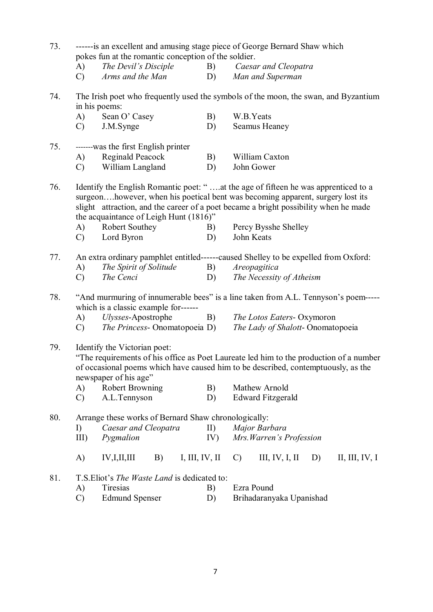| 73.<br>------ is an excellent and amusing stage piece of George Bernard Shaw which<br>pokes fun at the romantic conception of the soldier. |                                                                                                                            |                                                                                           |            |                                                                                                                                                                                                                                                              |  |  |  |  |  |
|--------------------------------------------------------------------------------------------------------------------------------------------|----------------------------------------------------------------------------------------------------------------------------|-------------------------------------------------------------------------------------------|------------|--------------------------------------------------------------------------------------------------------------------------------------------------------------------------------------------------------------------------------------------------------------|--|--|--|--|--|
|                                                                                                                                            | A)                                                                                                                         | The Devil's Disciple                                                                      | B)         | Caesar and Cleopatra                                                                                                                                                                                                                                         |  |  |  |  |  |
|                                                                                                                                            | $\mathcal{C}$                                                                                                              | Arms and the Man                                                                          | D)         | Man and Superman                                                                                                                                                                                                                                             |  |  |  |  |  |
| 74.                                                                                                                                        | in his poems:                                                                                                              | The Irish poet who frequently used the symbols of the moon, the swan, and Byzantium       |            |                                                                                                                                                                                                                                                              |  |  |  |  |  |
|                                                                                                                                            | (A)                                                                                                                        | Sean O' Casey                                                                             | B)         | W.B.Yeats                                                                                                                                                                                                                                                    |  |  |  |  |  |
|                                                                                                                                            | $\mathcal{C}$                                                                                                              | J.M.Synge                                                                                 | D)         | Seamus Heaney                                                                                                                                                                                                                                                |  |  |  |  |  |
| 75.                                                                                                                                        |                                                                                                                            | -------was the first English printer                                                      |            |                                                                                                                                                                                                                                                              |  |  |  |  |  |
|                                                                                                                                            | A)                                                                                                                         | Reginald Peacock                                                                          | B)         | William Caxton                                                                                                                                                                                                                                               |  |  |  |  |  |
|                                                                                                                                            | $\mathcal{C}$                                                                                                              | William Langland                                                                          | D)         | John Gower                                                                                                                                                                                                                                                   |  |  |  |  |  |
| 76.                                                                                                                                        |                                                                                                                            | the acquaintance of Leigh Hunt (1816)"                                                    |            | Identify the English Romantic poet: "at the age of fifteen he was apprenticed to a<br>surgeonhowever, when his poetical bent was becoming apparent, surgery lost its<br>slight attraction, and the career of a poet became a bright possibility when he made |  |  |  |  |  |
|                                                                                                                                            | A)                                                                                                                         | Robert Southey                                                                            | B)         | Percy Bysshe Shelley                                                                                                                                                                                                                                         |  |  |  |  |  |
|                                                                                                                                            | $\mathcal{C}$                                                                                                              | Lord Byron                                                                                | D)         | John Keats                                                                                                                                                                                                                                                   |  |  |  |  |  |
| 77.                                                                                                                                        |                                                                                                                            |                                                                                           |            | An extra ordinary pamphlet entitled------caused Shelley to be expelled from Oxford:                                                                                                                                                                          |  |  |  |  |  |
|                                                                                                                                            | A)                                                                                                                         | The Spirit of Solitude                                                                    | B)         | Areopagitica                                                                                                                                                                                                                                                 |  |  |  |  |  |
|                                                                                                                                            | $\mathcal{C}$                                                                                                              | The Cenci                                                                                 | D)         | The Necessity of Atheism                                                                                                                                                                                                                                     |  |  |  |  |  |
| 78.                                                                                                                                        | "And murmuring of innumerable bees" is a line taken from A.L. Tennyson's poem-----<br>which is a classic example for------ |                                                                                           |            |                                                                                                                                                                                                                                                              |  |  |  |  |  |
|                                                                                                                                            | A)                                                                                                                         | Ulysses-Apostrophe                                                                        | B)         | The Lotos Eaters- Oxymoron                                                                                                                                                                                                                                   |  |  |  |  |  |
|                                                                                                                                            | $\mathcal{C}$                                                                                                              | <i>The Princess</i> - Onomatopoeia D)                                                     |            | The Lady of Shalott-Onomatopoeia                                                                                                                                                                                                                             |  |  |  |  |  |
| 79.                                                                                                                                        | A)                                                                                                                         | Identify the Victorian poet:<br>newspaper of his age"<br><b>Robert Browning</b>           | B)         | "The requirements of his office as Poet Laureate led him to the production of a number<br>of occasional poems which have caused him to be described, contemptuously, as the<br>Mathew Arnold                                                                 |  |  |  |  |  |
|                                                                                                                                            | $\mathcal{C}$                                                                                                              | A.L.Tennyson                                                                              | D)         | <b>Edward Fitzgerald</b>                                                                                                                                                                                                                                     |  |  |  |  |  |
| 80.                                                                                                                                        | I)<br>III)                                                                                                                 | Arrange these works of Bernard Shaw chronologically:<br>Caesar and Cleopatra<br>Pygmalion | II)<br>IV) | Major Barbara<br>Mrs. Warren's Profession                                                                                                                                                                                                                    |  |  |  |  |  |
|                                                                                                                                            | A)                                                                                                                         | IV,I,II,III<br>B)<br>I, III, IV, II                                                       |            | III, IV, I, II<br>II, III, IV, I<br>D)<br>$\mathcal{C}$                                                                                                                                                                                                      |  |  |  |  |  |
| 81.                                                                                                                                        | A)<br>$\mathcal{C}$                                                                                                        | T.S. Eliot's The Waste Land is dedicated to:<br>Tiresias<br><b>Edmund Spenser</b>         | B)<br>D)   | Ezra Pound<br>Brihadaranyaka Upanishad                                                                                                                                                                                                                       |  |  |  |  |  |

7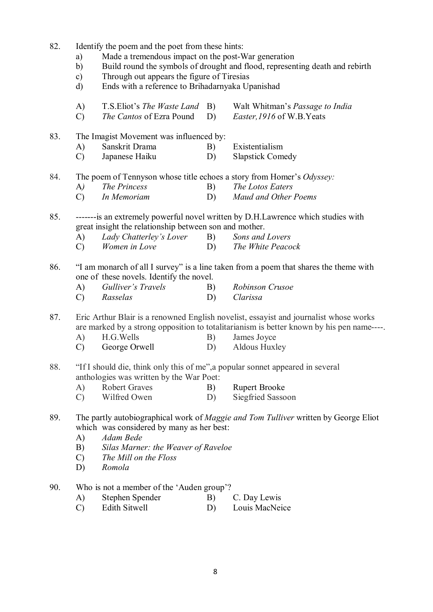- 82. Identify the poem and the poet from these hints:
	- a) Made a tremendous impact on the post-War generation
	- b) Build round the symbols of drought and flood, representing death and rebirth
	- c) Through out appears the figure of Tiresias
	- d) Ends with a reference to Brihadarnyaka Upanishad
	- A) T.S.Eliot's *The Waste Land* B) Walt Whitman's *Passage to India*
	- C) *The Cantos* of Ezra Pound D) *Easter,1916* of W.B.Yeats

83. The Imagist Movement was influenced by:

- A) Sanskrit Drama B) Existentialism
- C) Japanese Haiku D) Slapstick Comedy
- 84. The poem of Tennyson whose title echoes a story from Homer's *Odyssey:*
	- A*) The Princess* B) *The Lotos Eaters*
	- C) *In Memoriam* D) *Maud and Other Poems*
- 85. -------is an extremely powerful novel written by D.H.Lawrence which studies with great insight the relationship between son and mother.
	- A) *Lady Chatterley's Lover* B) *Sons and Lovers*
	- C) *Women in Love* D) *The White Peacock*
- 86. "I am monarch of all I survey" is a line taken from a poem that shares the theme with one of these novels. Identify the novel.
	- A) *Gulliver's Travels* B) *Robinson Crusoe* C) *Rasselas* D) *Clarissa*
- 87. Eric Arthur Blair is a renowned English novelist, essayist and journalist whose works are marked by a strong opposition to totalitarianism is better known by his pen name----.
	- A) H.G. Wells B) James Joyce
	- C) George Orwell D) Aldous Huxley
- 88. "If I should die, think only this of me",a popular sonnet appeared in several anthologies was written by the War Poet:
	- A) Robert Graves B) Rupert Brooke
	- C) Wilfred Owen D) Siegfried Sassoon
- 89. The partly autobiographical work of *Maggie and Tom Tulliver* written by George Eliot which was considered by many as her best:
	- A) *Adam Bede*
	- B) *Silas Marner: the Weaver of Raveloe*
	- C) *The Mill on the Floss*
	- D) *Romola*
- 90. Who is not a member of the 'Auden group'?
	- A) Stephen Spender B) C. Day Lewis
	- C) Edith Sitwell D) Louis MacNeice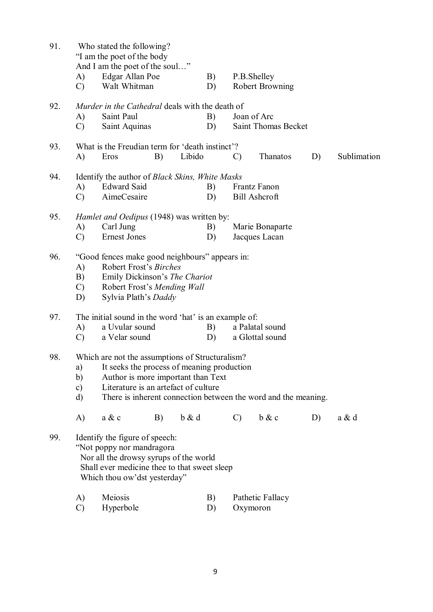| 91. | Who stated the following?<br>"I am the poet of the body"<br>And I am the poet of the soul" |                                                 |    |          |          |                      |                        |    |             |  |
|-----|--------------------------------------------------------------------------------------------|-------------------------------------------------|----|----------|----------|----------------------|------------------------|----|-------------|--|
|     |                                                                                            |                                                 |    |          |          |                      | P.B.Shelley            |    |             |  |
|     | A)<br>$\mathcal{C}$                                                                        | Edgar Allan Poe<br>Walt Whitman                 |    |          | B)<br>D) |                      | <b>Robert Browning</b> |    |             |  |
|     |                                                                                            |                                                 |    |          |          |                      |                        |    |             |  |
| 92. | Murder in the Cathedral deals with the death of                                            |                                                 |    |          |          |                      |                        |    |             |  |
|     | A)                                                                                         | Saint Paul                                      |    |          | B)       |                      | Joan of Arc            |    |             |  |
|     | $\mathcal{C}$                                                                              | Saint Aquinas                                   |    |          | D)       |                      | Saint Thomas Becket    |    |             |  |
| 93. | What is the Freudian term for 'death instinct'?                                            |                                                 |    |          |          |                      |                        |    |             |  |
|     | A)                                                                                         | Eros                                            | B) | Libido   |          | $\mathcal{C}$        | Thanatos               | D) | Sublimation |  |
| 94. | Identify the author of Black Skins, White Masks                                            |                                                 |    |          |          |                      |                        |    |             |  |
|     | A)                                                                                         | <b>Edward Said</b>                              |    |          | B)       |                      | Frantz Fanon           |    |             |  |
|     | $\mathcal{C}$                                                                              | AimeCesaire                                     |    |          | D)       | <b>Bill Ashcroft</b> |                        |    |             |  |
|     |                                                                                            |                                                 |    |          |          |                      |                        |    |             |  |
| 95. | <i>Hamlet and Oedipus</i> (1948) was written by:                                           |                                                 |    |          |          |                      |                        |    |             |  |
|     | A)                                                                                         | Carl Jung                                       |    |          | B)       |                      | Marie Bonaparte        |    |             |  |
|     | $\mathcal{C}$                                                                              | <b>Ernest Jones</b>                             |    |          | D)       |                      | Jacques Lacan          |    |             |  |
| 96. |                                                                                            |                                                 |    |          |          |                      |                        |    |             |  |
|     | "Good fences make good neighbours" appears in:<br>Robert Frost's Birches<br>A)             |                                                 |    |          |          |                      |                        |    |             |  |
|     | B)<br>Emily Dickinson's The Chariot                                                        |                                                 |    |          |          |                      |                        |    |             |  |
|     |                                                                                            | $\mathcal{C}$<br>Robert Frost's Mending Wall    |    |          |          |                      |                        |    |             |  |
|     | D)                                                                                         | Sylvia Plath's Daddy                            |    |          |          |                      |                        |    |             |  |
| 97. | The initial sound in the word 'hat' is an example of:                                      |                                                 |    |          |          |                      |                        |    |             |  |
|     | A)                                                                                         | a Uvular sound<br>B)<br>a Palatal sound         |    |          |          |                      |                        |    |             |  |
|     | $\mathcal{C}$                                                                              | a Velar sound                                   |    |          | D)       |                      | a Glottal sound        |    |             |  |
|     |                                                                                            |                                                 |    |          |          |                      |                        |    |             |  |
| 98. |                                                                                            | Which are not the assumptions of Structuralism? |    |          |          |                      |                        |    |             |  |
|     | It seeks the process of meaning production<br>a)                                           |                                                 |    |          |          |                      |                        |    |             |  |
|     | Author is more important than Text<br>b)                                                   |                                                 |    |          |          |                      |                        |    |             |  |
|     | c)                                                                                         | Literature is an artefact of culture            |    |          |          |                      |                        |    |             |  |
|     | There is inherent connection between the word and the meaning.<br>d)                       |                                                 |    |          |          |                      |                        |    |             |  |
|     | A)                                                                                         | a & c                                           | B) | $b \& d$ |          | $\mathcal{C}$        | b & c                  | D) | a & d       |  |
| 99. |                                                                                            | Identify the figure of speech:                  |    |          |          |                      |                        |    |             |  |
|     |                                                                                            | "Not poppy nor mandragora                       |    |          |          |                      |                        |    |             |  |
|     |                                                                                            | Nor all the drowsy syrups of the world          |    |          |          |                      |                        |    |             |  |
|     |                                                                                            | Shall ever medicine thee to that sweet sleep    |    |          |          |                      |                        |    |             |  |
|     |                                                                                            | Which thou ow'dst yesterday"                    |    |          |          |                      |                        |    |             |  |
|     | A)                                                                                         | Meiosis                                         |    |          | B)       |                      | Pathetic Fallacy       |    |             |  |
|     | $\mathcal{C}$                                                                              | Hyperbole                                       |    |          | D)       |                      | Oxymoron               |    |             |  |
|     |                                                                                            |                                                 |    |          |          |                      |                        |    |             |  |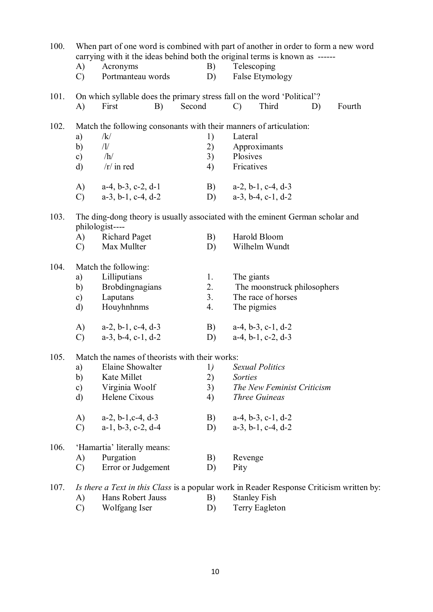| 100. |                                                                                                   |                                                                                          |        | When part of one word is combined with part of another in order to form a new word<br>carrying with it the ideas behind both the original terms is known as ------ |                               |    |        |  |  |  |
|------|---------------------------------------------------------------------------------------------------|------------------------------------------------------------------------------------------|--------|--------------------------------------------------------------------------------------------------------------------------------------------------------------------|-------------------------------|----|--------|--|--|--|
|      | A)                                                                                                | Acronyms                                                                                 | B)     |                                                                                                                                                                    | Telescoping                   |    |        |  |  |  |
|      | $\mathcal{C}$                                                                                     | Portmanteau words                                                                        | D)     |                                                                                                                                                                    | False Etymology               |    |        |  |  |  |
| 101. |                                                                                                   | On which syllable does the primary stress fall on the word 'Political'?                  |        |                                                                                                                                                                    |                               |    |        |  |  |  |
|      | A)                                                                                                | First<br>B)                                                                              | Second | $\mathcal{C}$                                                                                                                                                      | Third                         | D) | Fourth |  |  |  |
| 102. |                                                                                                   | Match the following consonants with their manners of articulation:                       |        |                                                                                                                                                                    |                               |    |        |  |  |  |
|      | a)                                                                                                | /k/                                                                                      | 1)     | Lateral                                                                                                                                                            |                               |    |        |  |  |  |
|      | b)                                                                                                | /1/                                                                                      | 2)     |                                                                                                                                                                    | Approximants                  |    |        |  |  |  |
|      | $\mathbf{c})$                                                                                     | /h/                                                                                      | 3)     | Plosives                                                                                                                                                           |                               |    |        |  |  |  |
|      | $\rm d)$                                                                                          | $/r/$ in red                                                                             | 4)     | Fricatives                                                                                                                                                         |                               |    |        |  |  |  |
|      | A)                                                                                                | $a-4$ , $b-3$ , $c-2$ , $d-1$                                                            | B)     |                                                                                                                                                                    | $a-2$ , $b-1$ , $c-4$ , $d-3$ |    |        |  |  |  |
|      | $\mathcal{C}$                                                                                     | $a-3$ , $b-1$ , $c-4$ , $d-2$                                                            | D)     |                                                                                                                                                                    | $a-3$ , $b-4$ , $c-1$ , $d-2$ |    |        |  |  |  |
| 103. | The ding-dong theory is usually associated with the eminent German scholar and<br>philologist---- |                                                                                          |        |                                                                                                                                                                    |                               |    |        |  |  |  |
|      | A)                                                                                                | <b>Richard Paget</b>                                                                     | B)     |                                                                                                                                                                    | Harold Bloom                  |    |        |  |  |  |
|      | $\mathcal{C}$                                                                                     | Max Mullter                                                                              | D)     |                                                                                                                                                                    | Wilhelm Wundt                 |    |        |  |  |  |
| 104. |                                                                                                   | Match the following:                                                                     |        |                                                                                                                                                                    |                               |    |        |  |  |  |
|      | a)                                                                                                | Lilliputians                                                                             | 1.     |                                                                                                                                                                    | The giants                    |    |        |  |  |  |
|      | b)                                                                                                | <b>Brobdingnagians</b>                                                                   | 2.     |                                                                                                                                                                    | The moonstruck philosophers   |    |        |  |  |  |
|      | $\mathbf{c})$                                                                                     | Laputans                                                                                 | 3.     |                                                                                                                                                                    | The race of horses            |    |        |  |  |  |
|      | $\rm d)$                                                                                          | Houyhnhnms                                                                               | 4.     |                                                                                                                                                                    | The pigmies                   |    |        |  |  |  |
|      | A)                                                                                                | $a-2$ , $b-1$ , $c-4$ , $d-3$                                                            | B)     |                                                                                                                                                                    | $a-4, b-3, c-1, d-2$          |    |        |  |  |  |
|      | $\mathcal{C}$                                                                                     | $a-3$ , $b-4$ , $c-1$ , $d-2$                                                            | D)     |                                                                                                                                                                    | $a-4$ , $b-1$ , $c-2$ , $d-3$ |    |        |  |  |  |
| 105. | Match the names of theorists with their works:                                                    |                                                                                          |        |                                                                                                                                                                    |                               |    |        |  |  |  |
|      | a)                                                                                                | Elaine Showalter                                                                         | 1)     |                                                                                                                                                                    | <i>Sexual Politics</i>        |    |        |  |  |  |
|      | b)                                                                                                | Kate Millet                                                                              | 2)     | <i>Sorties</i>                                                                                                                                                     |                               |    |        |  |  |  |
|      | $\mathbf{c})$                                                                                     | Virginia Woolf                                                                           | 3)     |                                                                                                                                                                    | The New Feminist Criticism    |    |        |  |  |  |
|      | $\rm d)$                                                                                          | Helene Cixous                                                                            | 4)     |                                                                                                                                                                    | Three Guineas                 |    |        |  |  |  |
|      | A)                                                                                                | $a-2$ , $b-1$ , $c-4$ , $d-3$                                                            | B)     |                                                                                                                                                                    | $a-4$ , $b-3$ , $c-1$ , $d-2$ |    |        |  |  |  |
|      | $\mathcal{C}$                                                                                     | $a-1$ , $b-3$ , $c-2$ , $d-4$                                                            | D)     |                                                                                                                                                                    | $a-3$ , $b-1$ , $c-4$ , $d-2$ |    |        |  |  |  |
| 106. |                                                                                                   | 'Hamartia' literally means:                                                              |        |                                                                                                                                                                    |                               |    |        |  |  |  |
|      | A)                                                                                                | Purgation                                                                                | B)     | Revenge                                                                                                                                                            |                               |    |        |  |  |  |
|      | $\mathcal{C}$                                                                                     | Error or Judgement                                                                       | D)     | Pity                                                                                                                                                               |                               |    |        |  |  |  |
| 107. |                                                                                                   | Is there a Text in this Class is a popular work in Reader Response Criticism written by: |        |                                                                                                                                                                    |                               |    |        |  |  |  |
|      | A)                                                                                                | Hans Robert Jauss                                                                        | B)     |                                                                                                                                                                    | <b>Stanley Fish</b>           |    |        |  |  |  |

C) Wolfgang Iser D) Terry Eagleton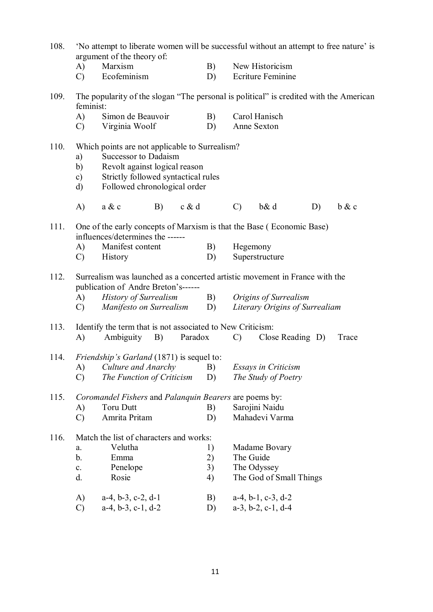| 108 | 'No attempt to liberate women will be successful without an attempt to free nature' is |
|-----|----------------------------------------------------------------------------------------|
|     | argument of the theory of:                                                             |

- A) Marxism B) New Historicism
- C) Ecofeminism D) Ecriture Feminine
- 109. The popularity of the slogan "The personal is political" is credited with the American feminist:
	- A) Simon de Beauvoir B) Carol Hanisch
	- C) Virginia Woolf D) Anne Sexton
- 110. Which points are not applicable to Surrealism?
	- a) Successor to Dadaism
	- b) Revolt against logical reason
	- c) Strictly followed syntactical rules
	- d) Followed chronological order
	- A) a & c B) c & d C) b& d D) b & c
- 111. One of the early concepts of Marxism is that the Base ( Economic Base) influences/determines the ------
	- A) Manifest content B) Hegemony
	- C) History D) Superstructure
- 112. Surrealism was launched as a concerted artistic movement in France with the publication of Andre Breton's------
	- A) *History of Surrealism* B) *Origins of Surrealism* C) *Manifesto on Surrealism* D) *Literary Origins of Surrealiam*

# 113. Identify the term that is not associated to New Criticism: A) Ambiguity B) Paradox C) Close Reading D) Trace 114. *Friendship's Garland* (1871) is sequel to:

- A) *Culture and Anarchy* B) *Essays in Criticism*
- C) *The Function of Criticism* D) *The Study of Poetry*

### 115. *Coromandel Fishers* and *Palanquin Bearers* are poems by:

A) Toru Dutt B) Sarojini Naidu C) Amrita Pritam D) Mahadevi Varma

## 116. Match the list of characters and works: a. Velutha 1) Madame Bovary b. Emma 2) The Guide

- c. Penelope 3) The Odyssey d. Rosie 4) The God of Small Things
- A) a-4, b-3, c-2, d-1 B) a-4, b-1, c-3, d-2<br>C) a-4, b-3, c-1, d-2 D) a-3, b-2, c-1, d-4
- C) a-4, b-3, c-1, d-2 D)